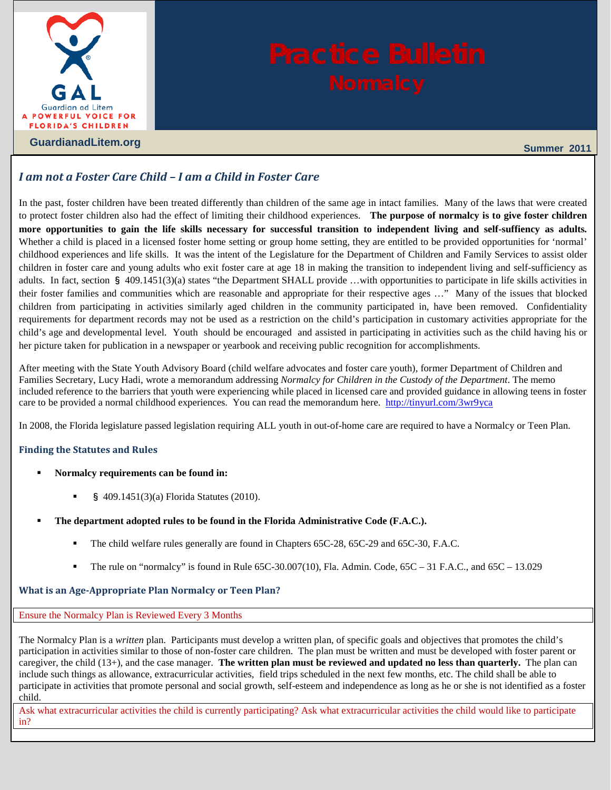

# *I am not a Foster Care Child – I am a Child in Foster Care*

In the past, foster children have been treated differently than children of the same age in intact families. Many of the laws that were created to protect foster children also had the effect of limiting their childhood experiences. **The purpose of normalcy is to give foster children more opportunities to gain the life skills necessary for successful transition to independent living and self-suffiency as adults***.*  Whether a child is placed in a licensed foster home setting or group home setting, they are entitled to be provided opportunities for 'normal' childhood experiences and life skills. It was the intent of the Legislature for the Department of Children and Family Services to assist older children in foster care and young adults who exit foster care at age 18 in making the transition to independent living and self-sufficiency as adults. In fact, section § [409.1451\(3\)\(a\)](http://www.leg.state.fl.us/Statutes/index.cfm?App_mode=Display_Statute&Search_String=&URL=0400-0499/0409/Sections/0409.1451.html) states "the Department SHALL provide …with opportunities to participate in life skills activities in their foster families and communities which are reasonable and appropriate for their respective ages …" Many of the issues that blocked children from participating in activities similarly aged children in the community participated in, have been removed. Confidentiality requirements for department records may not be used as a restriction on the child's participation in customary activities appropriate for the child's age and developmental level. Youth should be encouraged and assisted in participating in activities such as the child having his or her picture taken for publication in a newspaper or yearbook and receiving public recognition for accomplishments.

After meeting with the State Youth Advisory Board (child welfare advocates and foster care youth), former Department of Children and Families Secretary, Lucy Hadi, wrote a memorandum addressing *Normalcy for Children in the Custody of the Department*. The memo included reference to the barriers that youth were experiencing while placed in licensed care and provided guidance in allowing teens in foster care to be provided a normal childhood experiences. You can read the memorandum here.<http://tinyurl.com/3wr9yca>

In 2008, the Florida legislature passed legislation requiring ALL youth in out-of-home care are required to have a Normalcy or Teen Plan.

# **Finding the Statutes and Rules**

- **Normalcy requirements can be found in:**
	- § [409.1451\(3\)\(a\) Florida Statutes \(2010\).](http://www.leg.state.fl.us/Statutes/index.cfm?App_mode=Display_Statute&Search_String=&URL=0400-0499/0409/Sections/0409.1451.html)
- **The department adopted rules to be found in the Florida Administrative Code (F.A.C.).** 
	- The child welfare rules generally are found in Chapters [65C-28,](https://www.flrules.org/gateway/ChapterHome.asp?Chapter=65C-28) [65C-29](https://www.flrules.org/gateway/ChapterHome.asp?Chapter=65C-29) and [65C-30, F.A.C.](https://www.flrules.org/gateway/ChapterHome.asp?Chapter=65C-30)
	- The rule on "normalcy" is found in Rule [65C-30.007\(10\), Fla. Admin. Code,](https://www.flrules.org/gateway/ChapterHome.asp?Chapter=65C-30) 65C [31 F.A.C](https://www.flrules.org/gateway/ChapterHome.asp?Chapter=65C-31)., an[d 65C –](https://www.flrules.org/gateway/ChapterHome.asp?Chapter=65C-13) 13.029

# **What is an Age-Appropriate Plan Normalcy or Teen Plan?**

Ensure the Normalcy Plan is Reviewed Every 3 Months

The Normalcy Plan is a *written* plan. Participants must develop a written plan, of specific goals and objectives that promotes the child's participation in activities similar to those of non-foster care children. The plan must be written and must be developed with foster parent or caregiver, the child (13+), and the case manager. **The written plan must be reviewed and updated no less than quarterly.** The plan can include such things as allowance, extracurricular activities, field trips scheduled in the next few months, etc. The child shall be able to participate in activities that promote personal and social growth, self-esteem and independence as long as he or she is not identified as a foster child.

Ask what extracurricular activities the child is currently participating? Ask what extracurricular activities the child would like to participate in?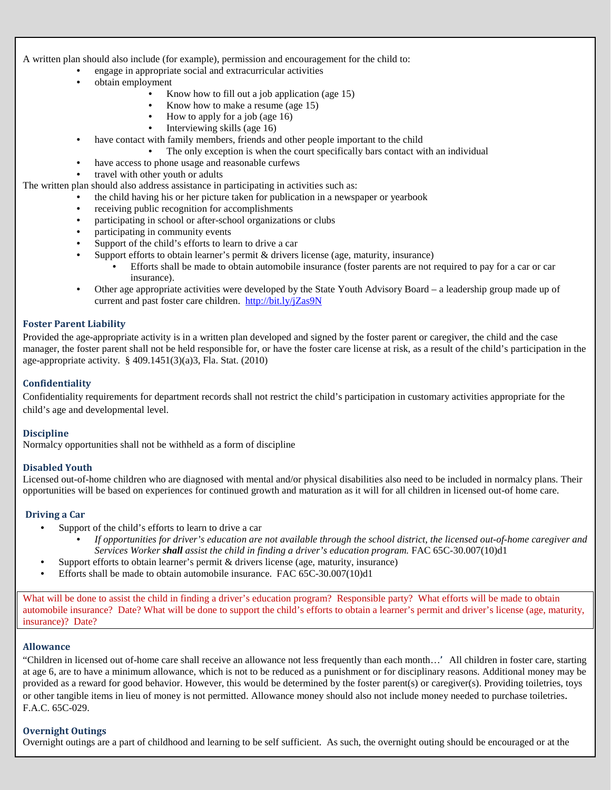A written plan should also include (for example), permission and encouragement for the child to:

- engage in appropriate social and extracurricular activities
- obtain employment
	- Know how to fill out a job application (age 15)
	- Know how to make a resume (age 15)
	- How to apply for a job (age 16)
	- Interviewing skills (age 16)
	- have contact with family members, friends and other people important to the child
		- The only exception is when the court specifically bars contact with an individual
	- have access to phone usage and reasonable curfews
- travel with other youth or adults

The written plan should also address assistance in participating in activities such as:

- the child having his or her picture taken for publication in a newspaper or yearbook
- receiving public recognition for accomplishments
- participating in school or after-school organizations or clubs
- participating in community events
- Support of the child's efforts to learn to drive a car
- Support efforts to obtain learner's permit & drivers license (age, maturity, insurance)
	- Efforts shall be made to obtain automobile insurance (foster parents are not required to pay for a car or car insurance).
- Other age appropriate activities were developed by the State Youth Advisory Board a leadership group made up of current and past foster care children. <http://bit.ly/jZas9N>

#### **Foster Parent Liability**

Provided the age-appropriate activity is in a written plan developed and signed by the foster parent or caregiver, the child and the case manager, the foster parent shall not be held responsible for, or have the foster care license at risk, as a result of the child's participation in the age-appropriate activity.  $\S$  409.1451(3)(a)3, Fla. Stat. (2010)

# **Confidentiality**

Confidentiality requirements for department records shall not restrict the child's participation in customary activities appropriate for the child's age and developmental level.

# **Discipline**

Normalcy opportunities shall not be withheld as a form of discipline

# **Disabled Youth**

Licensed out-of-home children who are diagnosed with mental and/or physical disabilities also need to be included in normalcy plans. Their opportunities will be based on experiences for continued growth and maturation as it will for all children in licensed out-of home care.

#### **Driving a Car**

- Support of the child's efforts to learn to drive a car
	- *If opportunities for driver's education are not available through the school district, the licensed out-of-home caregiver and Services Worker shall assist the child in finding a driver's education program.* [FAC 65C-30.007\(10\)d1](https://www.flrules.org/gateway/ChapterHome.asp?Chapter=65C-30)
- Support efforts to obtain learner's permit  $&$  drivers license (age, maturity, insurance)
- Efforts shall be made to obtain automobile insurance. [FAC 65C-30.007\(10\)d1](https://www.flrules.org/gateway/ChapterHome.asp?Chapter=65C-30)

What will be done to assist the child in finding a driver's education program? Responsible party? What efforts will be made to obtain automobile insurance? Date? What will be done to support the child's efforts to obtain a learner's permit and driver's license (age, maturity, insurance)? Date?

# **Allowance**

"Children in licensed out of-home care shall receive an allowance not less frequently than each month…**'** All children in foster care, starting at age 6, are to have a minimum allowance, which is not to be reduced as a punishment or for disciplinary reasons. Additional money may be provided as a reward for good behavior. However, this would be determined by the foster parent(s) or caregiver(s). Providing toiletries, toys or other tangible items in lieu of money is not permitted. Allowance money should also not include money needed to purchase toiletries. F.A.C. 65C-029.

# **Overnight Outings**

Overnight outings are a part of childhood and learning to be self sufficient. As such, the overnight outing should be encouraged or at the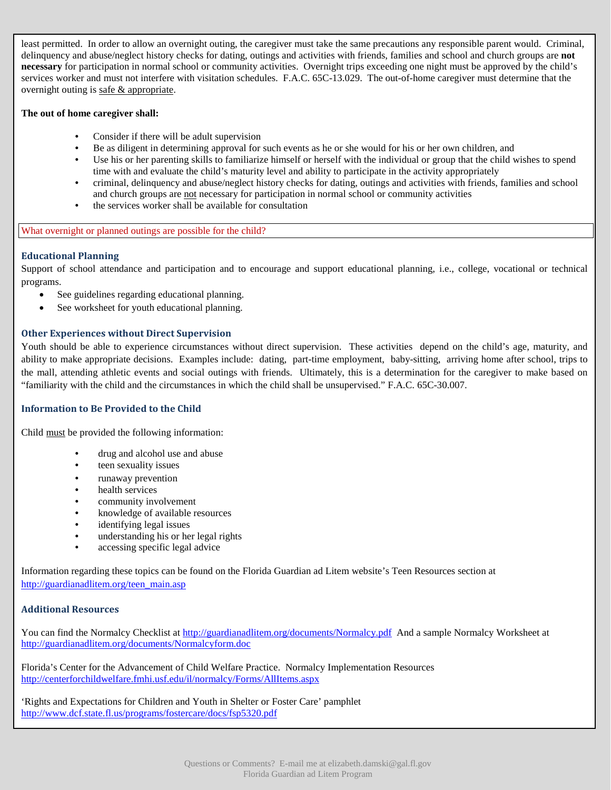least permitted. In order to allow an overnight outing, the caregiver must take the same precautions any responsible parent would. Criminal, delinquency and abuse/neglect history checks for dating, outings and activities with friends, families and school and church groups are **not necessary** for participation in normal school or community activities. Overnight trips exceeding one night must be approved by the child's services worker and must not interfere with visitation schedule[s. F.A.C. 65C-13.029.](https://www.flrules.org/gateway/ChapterHome.asp?Chapter=65C-13) The out-of-home caregiver must determine that the overnight outing is safe & appropriate.

# **The out of home caregiver shall:**

- Consider if there will be adult supervision
- Be as diligent in determining approval for such events as he or she would for his or her own children, and
- Use his or her parenting skills to familiarize himself or herself with the individual or group that the child wishes to spend time with and evaluate the child's maturity level and ability to participate in the activity appropriately
- criminal, delinquency and abuse/neglect history checks for dating, outings and activities with friends, families and school and church groups are not necessary for participation in normal school or community activities
- the services worker shall be available for consultation

# What overnight or planned outings are possible for the child?

# **Educational Planning**

Support of school attendance and participation and to encourage and support educational planning, i.e., college, vocational or technical programs.

- See guidelines regarding educational planning.
- [See worksheet for youth educational planning.](http://guardianadlitem.org/Practice_Manual_files/PDFs/Ch11_Youth_Worksheet_Staffing_and_Educational_Plan.pdf)

# **Other Experiences without Direct Supervision**

Youth should be able to experience circumstances without direct supervision. These activities depend on the child's age, maturity, and ability to make appropriate decisions. Examples include: dating, part-time employment, baby-sitting, arriving home after school, trips to the mall, attending athletic events and social outings with friends. Ultimately, this is a determination for the caregiver to make based on "familiarity with the child and the circumstances in which the child shall be unsupervised." [F.A.C. 65C-30.007.](https://www.flrules.org/gateway/ChapterHome.asp?Chapter=65C-30)

# **Information to Be Provided to the Child**

Child must be provided the following information:

- drug and alcohol use and abuse
- teen sexuality issues
- runaway prevention
- health services
- community involvement
- •knowledge of available resources
- identifying legal issues
- understanding his or her legal rights
- accessing specific legal advice

Information regarding these topics can be found on the Florida Guardian ad Litem website's Teen Resources section at [http://guardianadlitem.org/teen\\_main.asp](http://guardianadlitem.org/teen_main.asp)

# **Additional Resources**

You can find the Normalcy Checklist at [http://guardianadlitem.org/documents/Normalcy.pdf](http://centerforchildwelfare.fmhi.usf.edu/il/normalcy/Forms/AllItems.aspx) And a sample Normalcy Worksheet at <http://guardianadlitem.org/documents/Normalcyform.doc>

Florida's Center for the Advancement of Child Welfare Practice. Normalcy Implementation Resources <http://centerforchildwelfare.fmhi.usf.edu/il/normalcy/Forms/AllItems.aspx>

'Rights and Expectations for Children and Youth in Shelter or Foster Care' pamphlet <http://www.dcf.state.fl.us/programs/fostercare/docs/fsp5320.pdf>